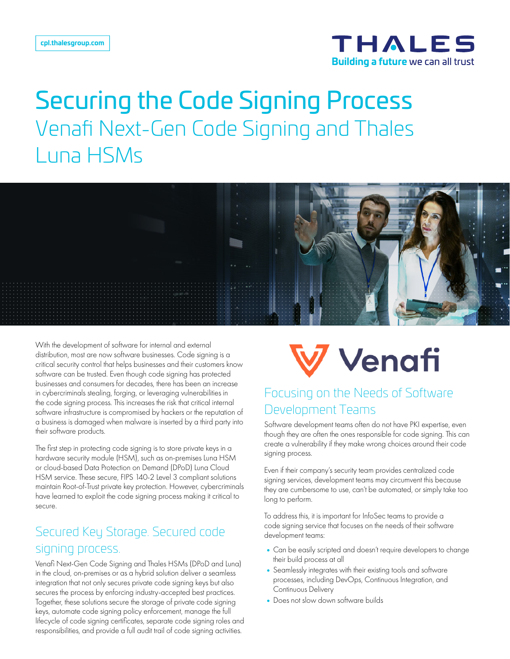

# Securing the Code Signing Process Venafi Next-Gen Code Signing and Thales Luna HSMs



With the development of software for internal and external distribution, most are now software businesses. Code signing is a critical security control that helps businesses and their customers know software can be trusted. Even though code signing has protected businesses and consumers for decades, there has been an increase in cybercriminals stealing, forging, or leveraging vulnerabilities in the code signing process. This increases the risk that critical internal software infrastructure is compromised by hackers or the reputation of a business is damaged when malware is inserted by a third party into their software products.

The first step in protecting code signing is to store private keys in a hardware security module (HSM), such as on-premises Luna HSM or cloud-based Data Protection on Demand (DPoD) Luna Cloud HSM service. These secure, FIPS 140-2 Level 3 compliant solutions maintain Root-of-Trust private key protection. However, cybercriminals have learned to exploit the code signing process making it critical to secure.

# Secured Key Storage. Secured code signing process.

Venafi Next-Gen Code Signing and Thales HSMs (DPoD and Luna) in the cloud, on-premises or as a hybrid solution deliver a seamless integration that not only secures private code signing keys but also secures the process by enforcing industry-accepted best practices. Together, these solutions secure the storage of private code signing keys, automate code signing policy enforcement, manage the full lifecycle of code signing certificates, separate code signing roles and responsibilities, and provide a full audit trail of code signing activities.



## Focusing on the Needs of Software Development Teams

Software development teams often do not have PKI expertise, even though they are often the ones responsible for code signing. This can create a vulnerability if they make wrong choices around their code signing process.

Even if their company's security team provides centralized code signing services, development teams may circumvent this because they are cumbersome to use, can't be automated, or simply take too long to perform.

To address this, it is important for InfoSec teams to provide a code signing service that focuses on the needs of their software development teams:

- •Can be easily scripted and doesn't require developers to change their build process at all
- •Seamlessly integrates with their existing tools and software processes, including DevOps, Continuous Integration, and Continuous Delivery
- Does not slow down software builds